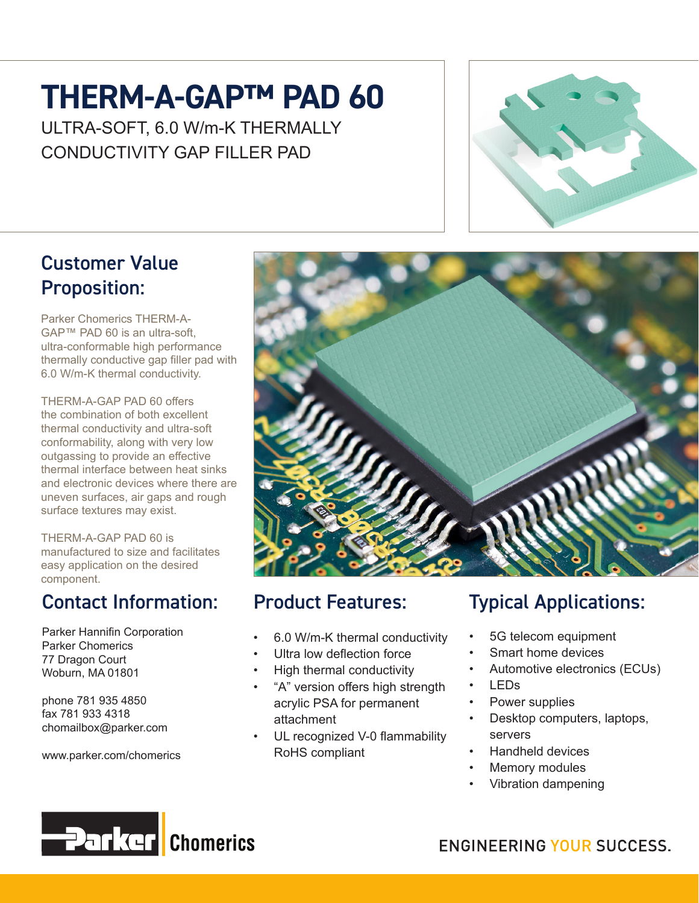## **THERM-A-GAP™ PAD 60**

ULTRA-SOFT, 6.0 W/m-K THERMALLY CONDUCTIVITY GAP FILLER PAD



#### Customer Value Proposition:

Parker Chomerics THERM-A-GAP™ PAD 60 is an ultra-soft, ultra-conformable high performance thermally conductive gap filler pad with 6.0 W/m-K thermal conductivity.

THERM-A-GAP PAD 60 offers the combination of both excellent thermal conductivity and ultra-soft conformability, along with very low outgassing to provide an effective thermal interface between heat sinks and electronic devices where there are uneven surfaces, air gaps and rough surface textures may exist.

THERM-A-GAP PAD 60 is manufactured to size and facilitates easy application on the desired component.

#### Contact Information:

Parker Hannifin Corporation Parker Chomerics 77 Dragon Court Woburn, MA 01801

phone 781 935 4850 fax 781 933 4318 chomailbox@parker.com

www.parker.com/chomerics



## Product Features:

- 6.0 W/m-K thermal conductivity
- Ultra low deflection force
- High thermal conductivity
- "A" version offers high strength acrylic PSA for permanent attachment
- UL recognized V-0 flammability RoHS compliant

## Typical Applications:

- 5G telecom equipment
- Smart home devices
- Automotive electronics (ECUs)
- LEDs
- Power supplies
- Desktop computers, laptops, servers
- Handheld devices
- Memory modules
- Vibration dampening



**ENGINEERING YOUR SUCCESS.**